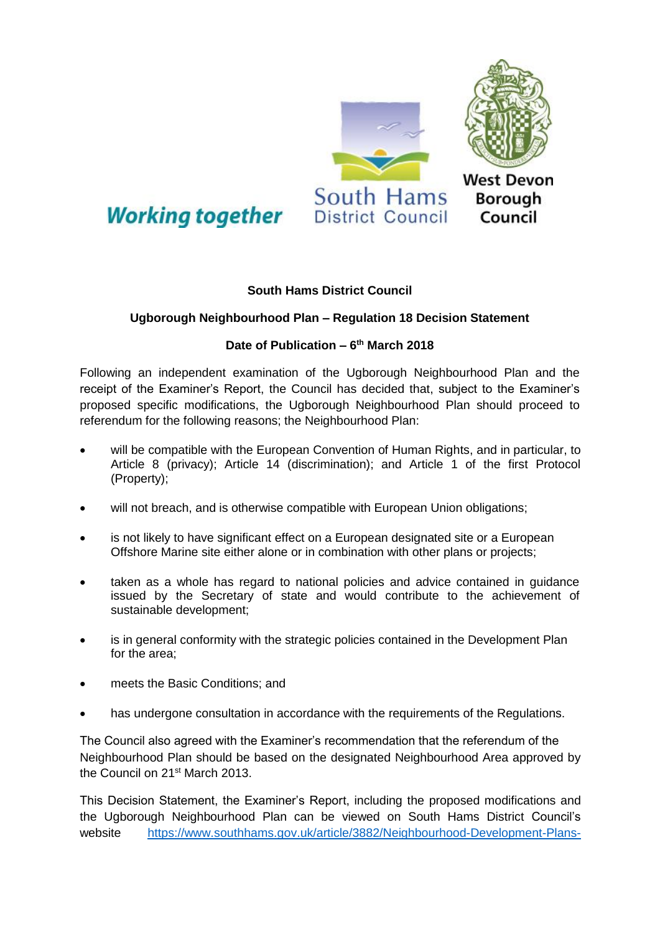

## **South Hams District Council**

## **Ugborough Neighbourhood Plan – Regulation 18 Decision Statement**

## **Date of Publication – 6 th March 2018**

Following an independent examination of the Ugborough Neighbourhood Plan and the receipt of the Examiner's Report, the Council has decided that, subject to the Examiner's proposed specific modifications, the Ugborough Neighbourhood Plan should proceed to referendum for the following reasons; the Neighbourhood Plan:

- will be compatible with the European Convention of Human Rights, and in particular, to Article 8 (privacy); Article 14 (discrimination); and Article 1 of the first Protocol (Property);
- will not breach, and is otherwise compatible with European Union obligations;
- is not likely to have significant effect on a European designated site or a European Offshore Marine site either alone or in combination with other plans or projects;
- taken as a whole has regard to national policies and advice contained in guidance issued by the Secretary of state and would contribute to the achievement of sustainable development;
- is in general conformity with the strategic policies contained in the Development Plan for the area;
- meets the Basic Conditions; and
- has undergone consultation in accordance with the requirements of the Regulations.

The Council also agreed with the Examiner's recommendation that the referendum of the Neighbourhood Plan should be based on the designated Neighbourhood Area approved by the Council on 21<sup>st</sup> March 2013.

This Decision Statement, the Examiner's Report, including the proposed modifications and the Ugborough Neighbourhood Plan can be viewed on South Hams District Council's website [https://www.southhams.gov.uk/article/3882/Neighbourhood-Development-Plans-](https://www.southhams.gov.uk/article/3882/Neighbourhood-Development-Plans-and-Orders)